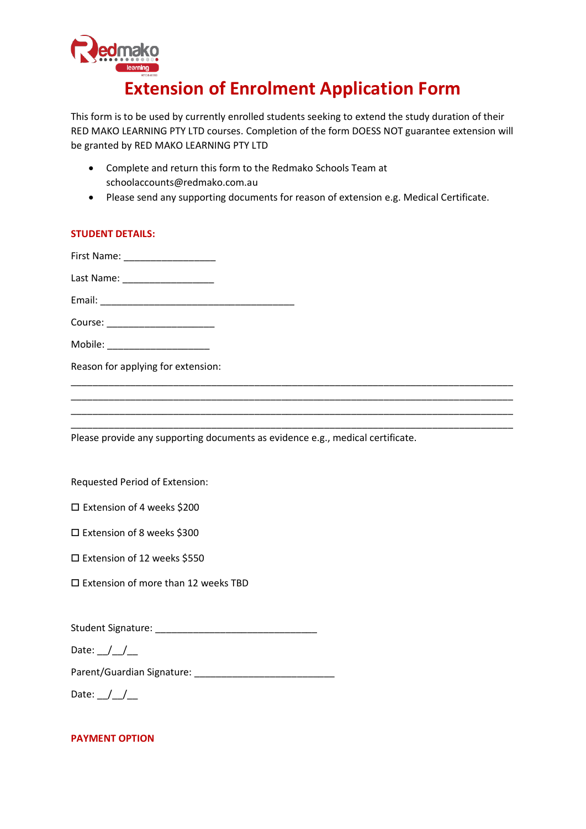

# **Extension of Enrolment Application Form**

This form is to be used by currently enrolled students seeking to extend the study duration of their RED MAKO LEARNING PTY LTD courses. Completion of the form DOESS NOT guarantee extension will be granted by RED MAKO LEARNING PTY LTD

- Complete and return this form to the Redmako Schools Team at schoolaccounts@redmako.com.au
- Please send any supporting documents for reason of extension e.g. Medical Certificate.

## **STUDENT DETAILS:**

| First Name: _____________________                                              |  |
|--------------------------------------------------------------------------------|--|
| Last Name: _______________________                                             |  |
|                                                                                |  |
| Course: ________________________                                               |  |
| Mobile: _______________________                                                |  |
| Reason for applying for extension:                                             |  |
|                                                                                |  |
|                                                                                |  |
| Please provide any supporting documents as evidence e.g., medical certificate. |  |

Requested Period of Extension:

| □ Extension of 4 weeks \$200 |
|------------------------------|
|------------------------------|

- □ Extension of 8 weeks \$300
- □ Extension of 12 weeks \$550
- □ Extension of more than 12 weeks TBD

| <b>Student Signature:</b> |  |
|---------------------------|--|
|                           |  |

Date:  $\_$  / $\_$ 

Parent/Guardian Signature: \_\_\_\_\_\_\_\_\_\_\_\_\_\_\_\_\_\_\_\_\_\_\_\_\_\_

Date:  $\angle$ 

#### **PAYMENT OPTION**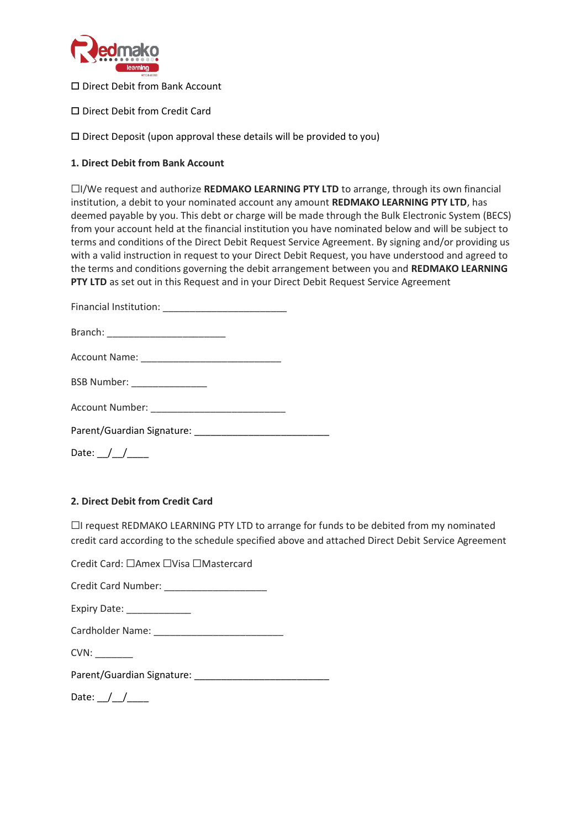

□ Direct Debit from Bank Account

□ Direct Debit from Credit Card

 $\square$  Direct Deposit (upon approval these details will be provided to you)

### **1. Direct Debit from Bank Account**

☐I/We request and authorize **REDMAKO LEARNING PTY LTD** to arrange, through its own financial institution, a debit to your nominated account any amount **REDMAKO LEARNING PTY LTD**, has deemed payable by you. This debt or charge will be made through the Bulk Electronic System (BECS) from your account held at the financial institution you have nominated below and will be subject to terms and conditions of the Direct Debit Request Service Agreement. By signing and/or providing us with a valid instruction in request to your Direct Debit Request, you have understood and agreed to the terms and conditions governing the debit arrangement between you and **REDMAKO LEARNING PTY LTD** as set out in this Request and in your Direct Debit Request Service Agreement

| BSB Number: _________________ |  |
|-------------------------------|--|
|                               |  |
|                               |  |
|                               |  |

## **2. Direct Debit from Credit Card**

 $\Box$ I request REDMAKO LEARNING PTY LTD to arrange for funds to be debited from my nominated credit card according to the schedule specified above and attached Direct Debit Service Agreement

Credit Card: ☐Amex ☐Visa ☐Mastercard

Credit Card Number: \_\_\_\_\_\_\_\_\_\_\_\_\_\_\_\_\_\_\_

Cardholder Name:

CVN: \_\_\_\_\_\_\_

Parent/Guardian Signature:

Date:  $\angle$